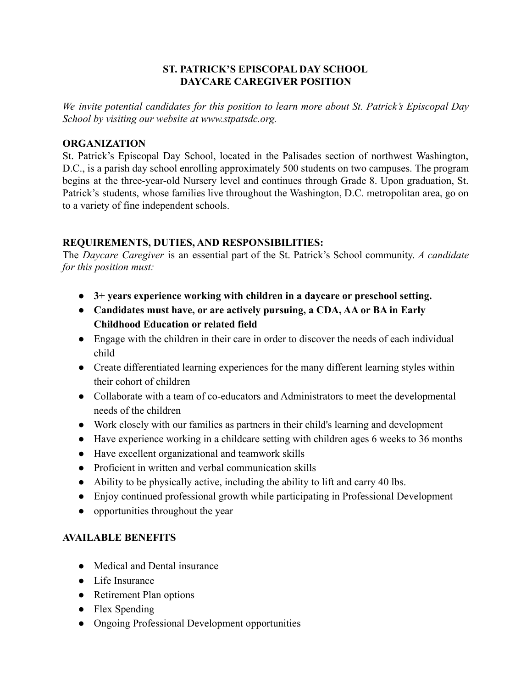# **ST. PATRICK'S EPISCOPAL DAY SCHOOL DAYCARE CAREGIVER POSITION**

*We invite potential candidates for this position to learn more about St. Patrick's Episcopal Day School by visiting our website at www.stpatsdc.org.*

## **ORGANIZATION**

St. Patrick's Episcopal Day School, located in the Palisades section of northwest Washington, D.C., is a parish day school enrolling approximately 500 students on two campuses. The program begins at the three-year-old Nursery level and continues through Grade 8. Upon graduation, St. Patrick's students, whose families live throughout the Washington, D.C. metropolitan area, go on to a variety of fine independent schools.

# **REQUIREMENTS, DUTIES, AND RESPONSIBILITIES:**

The *Daycare Caregiver* is an essential part of the St. Patrick's School community. *A candidate for this position must:*

- **● 3+ years experience working with children in a daycare or preschool setting.**
- **● Candidates must have, or are actively pursuing, a CDA, AA or BA in Early Childhood Education or related field**
- Engage with the children in their care in order to discover the needs of each individual child
- Create differentiated learning experiences for the many different learning styles within their cohort of children
- Collaborate with a team of co-educators and Administrators to meet the developmental needs of the children
- Work closely with our families as partners in their child's learning and development
- Have experience working in a childcare setting with children ages 6 weeks to 36 months
- Have excellent organizational and teamwork skills
- Proficient in written and verbal communication skills
- Ability to be physically active, including the ability to lift and carry 40 lbs.
- Enjoy continued professional growth while participating in Professional Development
- opportunities throughout the year

# **AVAILABLE BENEFITS**

- Medical and Dental insurance
- Life Insurance
- Retirement Plan options
- Flex Spending
- Ongoing Professional Development opportunities